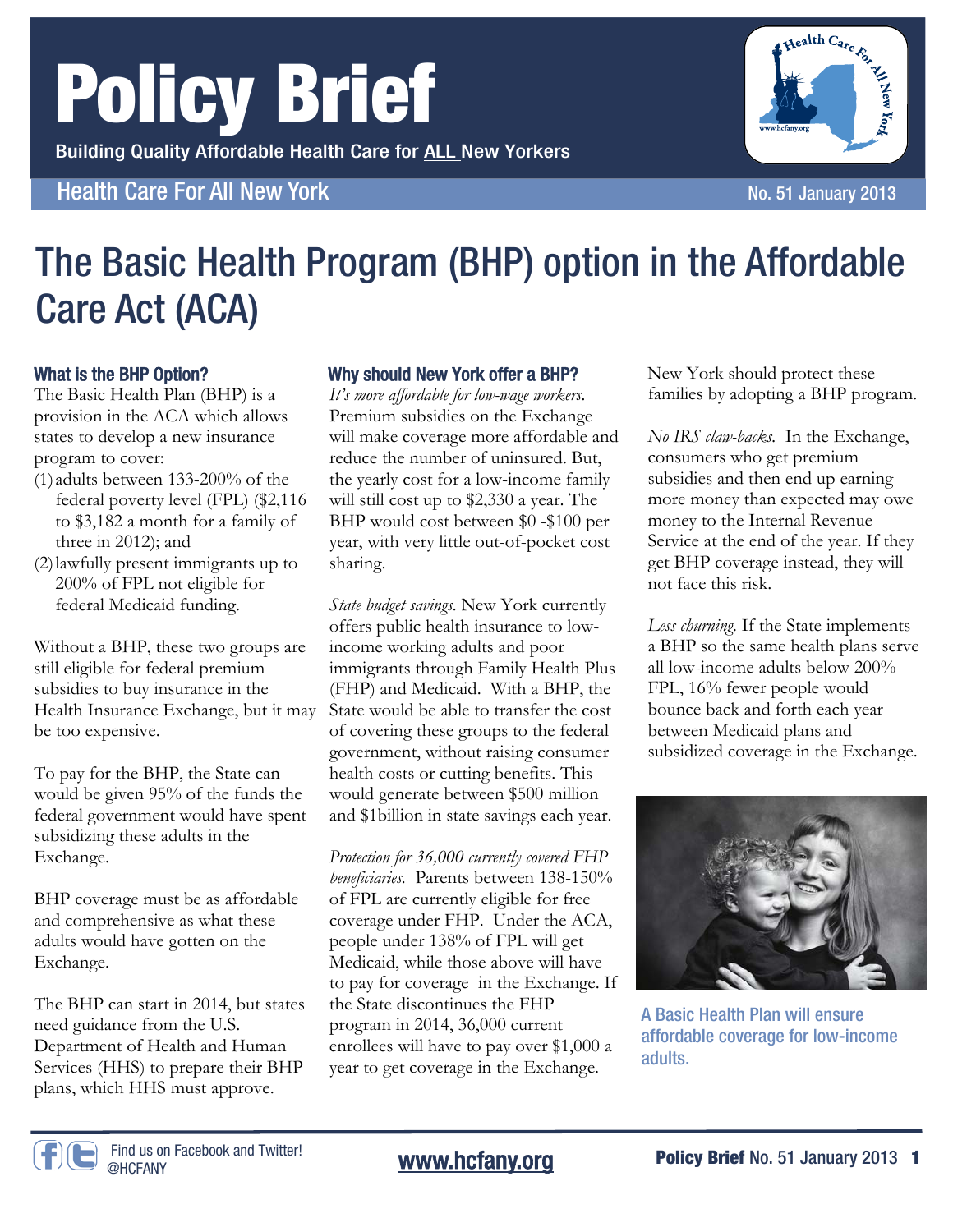# Policy Brief

Building Quality Affordable Health Care for ALL New Yorkers

**Health Care For All New York No. 51 January 2013** 

## Why should New York offer a BHP?

The Basic Health Program (BHP) option in the Affordable

What is the BHP Option? The Basic Health Plan (BHP) is a provision in the ACA which allows states to develop a new insurance program to cover: (1) adults between 133-200% of the

federal poverty level (FPL) (\$2,116 to \$3,182 a month for a family of three in 2012); and

Care Act (ACA)

(2) lawfully present immigrants up to 200% of FPL not eligible for federal Medicaid funding.

Without a BHP, these two groups are still eligible for federal premium subsidies to buy insurance in the Health Insurance Exchange, but it may be too expensive.

To pay for the BHP, the State can would be given 95% of the funds the federal government would have spent subsidizing these adults in the Exchange.

BHP coverage must be as affordable and comprehensive as what these adults would have gotten on the Exchange.

The BHP can start in 2014, but states need guidance from the U.S. Department of Health and Human Services (HHS) to prepare their BHP plans, which HHS must approve.

*It's more affordable for low-wage workers.*  Premium subsidies on the Exchange will make coverage more affordable and reduce the number of uninsured. But, the yearly cost for a low-income family will still cost up to \$2,330 a year. The BHP would cost between \$0 -\$100 per year, with very little out-of-pocket cost sharing.

*State budget savings.* New York currently offers public health insurance to lowincome working adults and poor immigrants through Family Health Plus (FHP) and Medicaid. With a BHP, the State would be able to transfer the cost of covering these groups to the federal government, without raising consumer health costs or cutting benefits. This would generate between \$500 million and \$1billion in state savings each year.

*Protection for 36,000 currently covered FHP beneficiaries.* Parents between 138-150% of FPL are currently eligible for free coverage under FHP. Under the ACA, people under 138% of FPL will get Medicaid, while those above will have to pay for coverage in the Exchange. If the State discontinues the FHP program in 2014, 36,000 current enrollees will have to pay over \$1,000 a year to get coverage in the Exchange.

New York should protect these families by adopting a BHP program.

*No IRS claw-backs.* In the Exchange, consumers who get premium subsidies and then end up earning more money than expected may owe money to the Internal Revenue Service at the end of the year. If they get BHP coverage instead, they will not face this risk.

*Less churning.* If the State implements a BHP so the same health plans serve all low-income adults below 200% FPL, 16% fewer people would bounce back and forth each year between Medicaid plans and subsidized coverage in the Exchange.



affordable coverage for low-income adults.